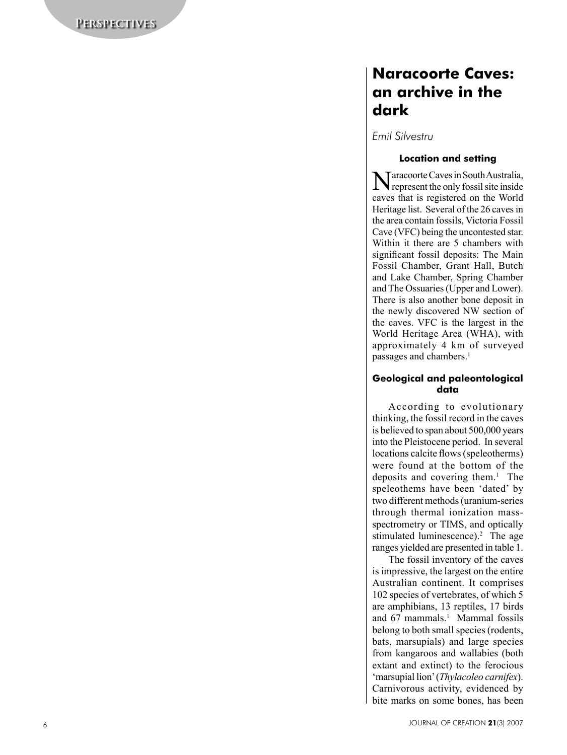# **Naracoorte Caves: an archive in the dark**

*Emil Silvestru*

## **Location and setting**

Naracoorte Caves in South Australia, represent the only fossil site inside caves that is registered on the World Heritage list. Several of the 26 caves in the area contain fossils, Victoria Fossil Cave (VFC) being the uncontested star. Within it there are 5 chambers with significant fossil deposits: The Main Fossil Chamber, Grant Hall, Butch and Lake Chamber, Spring Chamber and The Ossuaries (Upper and Lower). There is also another bone deposit in the newly discovered NW section of the caves. VFC is the largest in the World Heritage Area (WHA), with approximately 4 km of surveyed passages and chambers. 1

## **Geological and paleontological data**

According to evolutionary thinking, the fossil record in the caves is believed to span about 500,000 years into the Pleistocene period. In several locations calcite flows (speleotherms) were found at the bottom of the deposits and covering them. 1 The speleothems have been 'dated' by two different methods (uranium-series through thermal ionization massspectrometry or TIMS, and optically stimulated luminescence). 2 The age ranges yielded are presented in table 1.

The fossil inventory of the caves is impressive, the largest on the entire Australian continent. It comprises 102 species of vertebrates, of which 5 are amphibians, 13 reptiles, 17 birds and 67 mammals. 1 Mammal fossils belong to both small species (rodents, bats, marsupials) and large species from kangaroos and wallabies (both extant and extinct) to the ferocious 'marsupial lion' (*Thylacoleo carnifex*). Carnivorous activity, evidenced by bite marks on some bones, has been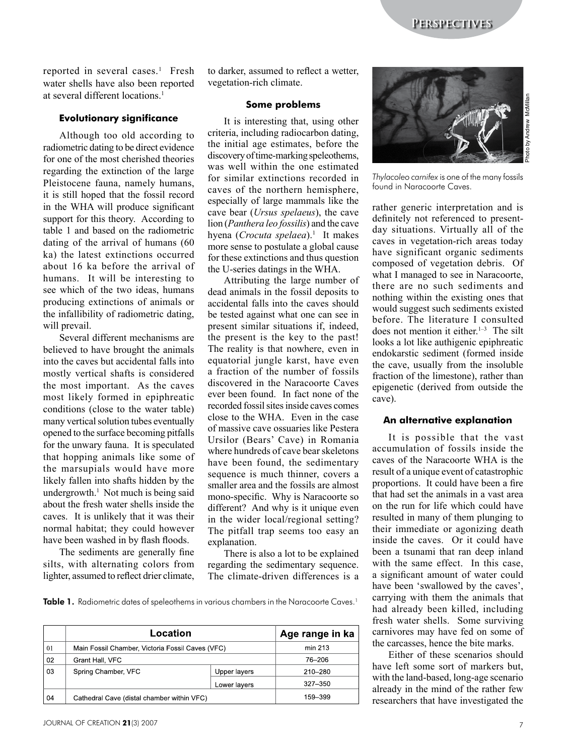**Perspectives**

reported in several cases.<sup>1</sup> Fresh water shells have also been reported at several different locations.<sup>1</sup>

### **Evolutionary significance**

Although too old according to radiometric dating to be direct evidence for one of the most cherished theories regarding the extinction of the large Pleistocene fauna, namely humans, it is still hoped that the fossil record in the WHA will produce significant support for this theory. According to table 1 and based on the radiometric dating of the arrival of humans (60 ka) the latest extinctions occurred about 16 ka before the arrival of humans. It will be interesting to see which of the two ideas, humans producing extinctions of animals or the infallibility of radiometric dating, will prevail.

Several different mechanisms are believed to have brought the animals into the caves but accidental falls into mostly vertical shafts is considered the most important. As the caves most likely formed in epiphreatic conditions (close to the water table) many vertical solution tubes eventually opened to the surface becoming pitfalls for the unwary fauna. It is speculated that hopping animals like some of the marsupials would have more likely fallen into shafts hidden by the undergrowth.<sup>1</sup> Not much is being said about the fresh water shells inside the caves. It is unlikely that it was their normal habitat; they could however have been washed in by flash floods.

The sediments are generally fine silts, with alternating colors from lighter, assumed to reflect drier climate, to darker, assumed to reflect a wetter, vegetation-rich climate.

#### **Some problems**

It is interesting that, using other criteria, including radiocarbon dating, the initial age estimates, before the discovery of time-marking speleothems, was well within the one estimated for similar extinctions recorded in caves of the northern hemisphere, especially of large mammals like the cave bear (*Ursus spelaeus*), the cave lion (*Panthera leo fossilis*) and the cave hyena (*Crocuta spelaea*).<sup>1</sup> It makes more sense to postulate a global cause for these extinctions and thus question the U-series datings in the WHA.

Attributing the large number of dead animals in the fossil deposits to accidental falls into the caves should be tested against what one can see in present similar situations if, indeed, the present is the key to the past! The reality is that nowhere, even in equatorial jungle karst, have even a fraction of the number of fossils discovered in the Naracoorte Caves ever been found. In fact none of the recorded fossil sites inside caves comes close to the WHA. Even in the case of massive cave ossuaries like Pestera Ursilor (Bears' Cave) in Romania where hundreds of cave bear skeletons have been found, the sedimentary sequence is much thinner, covers a smaller area and the fossils are almost mono-specific. Why is Naracoorte so different? And why is it unique even in the wider local/regional setting? The pitfall trap seems too easy an explanation.

There is also a lot to be explained regarding the sedimentary sequence. The climate-driven differences is a

**Table 1.** Radiometric dates of speleothems in various chambers in the Naracoorte Caves.<sup>1</sup>

|         | Location                                         |              | Age range in ka |
|---------|--------------------------------------------------|--------------|-----------------|
| $_{01}$ | Main Fossil Chamber, Victoria Fossil Caves (VFC) |              | min 213         |
| 02      | Grant Hall, VFC                                  |              | 76–206          |
| 03      | Spring Chamber, VFC                              | Upper layers | 210-280         |
|         |                                                  | Lower lavers | $327 - 350$     |
| 04      | Cathedral Cave (distal chamber within VFC)       |              | 159-399         |



*Thylacoleo carnifex* is one of the many fossils found in Naracoorte Caves.

rather generic interpretation and is definitely not referenced to presentday situations. Virtually all of the caves in vegetation-rich areas today have significant organic sediments composed of vegetation debris. Of what I managed to see in Naracoorte, there are no such sediments and nothing within the existing ones that would suggest such sediments existed before. The literature I consulted does not mention it either.<sup>1–3</sup> The silt looks a lot like authigenic epiphreatic endokarstic sediment (formed inside the cave, usually from the insoluble fraction of the limestone), rather than epigenetic (derived from outside the cave).

#### **An alternative explanation**

It is possible that the vast accumulation of fossils inside the caves of the Naracoorte WHA is the result of a unique event of catastrophic proportions. It could have been a fire that had set the animals in a vast area on the run for life which could have resulted in many of them plunging to their immediate or agonizing death inside the caves. Or it could have been a tsunami that ran deep inland with the same effect. In this case, a significant amount of water could have been 'swallowed by the caves', carrying with them the animals that had already been killed, including fresh water shells. Some surviving carnivores may have fed on some of the carcasses, hence the bite marks.

Either of these scenarios should have left some sort of markers but, with the land-based, long-age scenario already in the mind of the rather few researchers that have investigated the